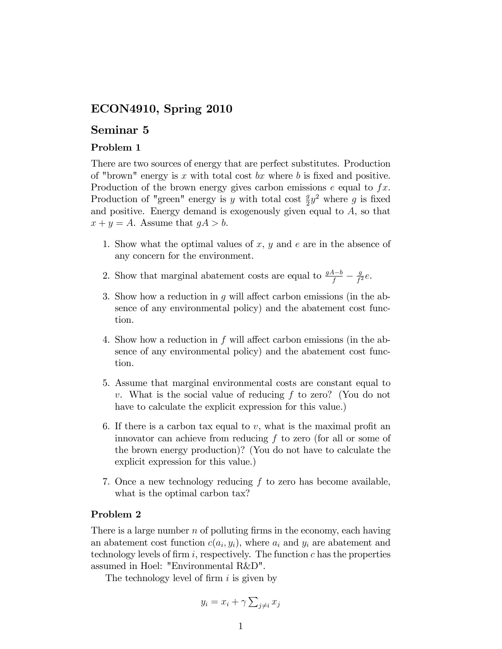## ECON4910, Spring 2010

## Seminar 5

## Problem 1

There are two sources of energy that are perfect substitutes. Production of "brown" energy is  $x$  with total cost  $bx$  where  $b$  is fixed and positive. Production of the brown energy gives carbon emissions  $e$  equal to  $fx$ . Production of "green" energy is y with total cost  $\frac{g}{2}y^2$  where g is fixed and positive. Energy demand is exogenously given equal to  $A$ , so that  $x + y = A$ . Assume that  $gA > b$ .

- 1. Show what the optimal values of  $x, y$  and  $e$  are in the absence of any concern for the environment.
- 2. Show that marginal abatement costs are equal to  $\frac{gA-b}{f} \frac{g}{f'}$  $\frac{g}{f^2}e$ .
- 3. Show how a reduction in  $q$  will affect carbon emissions (in the absence of any environmental policy) and the abatement cost function.
- 4. Show how a reduction in  $f$  will affect carbon emissions (in the absence of any environmental policy) and the abatement cost function.
- 5. Assume that marginal environmental costs are constant equal to v. What is the social value of reducing f to zero? (You do not have to calculate the explicit expression for this value.)
- 6. If there is a carbon tax equal to  $v$ , what is the maximal profit an innovator can achieve from reducing f to zero (for all or some of the brown energy production)? (You do not have to calculate the explicit expression for this value.)
- 7. Once a new technology reducing  $f$  to zero has become available, what is the optimal carbon tax?

## Problem 2

There is a large number  $n$  of polluting firms in the economy, each having an abatement cost function  $c(a_i, y_i)$ , where  $a_i$  and  $y_i$  are abatement and technology levels of firm i, respectively. The function  $c$  has the properties assumed in Hoel: "Environmental R&D".

The technology level of firm  $i$  is given by

$$
y_i = x_i + \gamma \sum_{j \neq i} x_j
$$